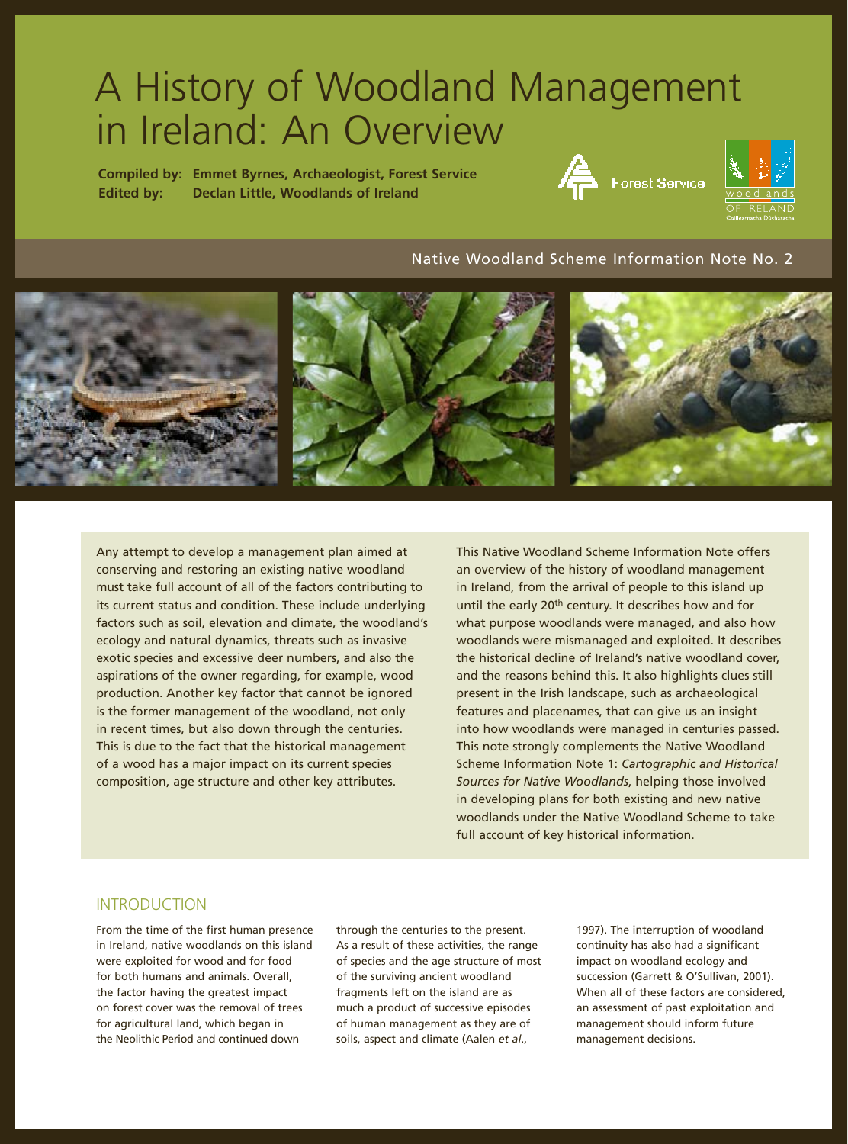# A History of Woodland Management in Ireland: An Overview

**Compiled by: Emmet Byrnes, Archaeologist, Forest Service Edited by: Declan Little, Woodlands of Ireland**





#### Native Woodland Scheme Information Note No. 2



Any attempt to develop a management plan aimed at conserving and restoring an existing native woodland must take full account of all of the factors contributing to its current status and condition. These include underlying factors such as soil, elevation and climate, the woodland's ecology and natural dynamics, threats such as invasive exotic species and excessive deer numbers, and also the aspirations of the owner regarding, for example, wood production. Another key factor that cannot be ignored is the former management of the woodland, not only in recent times, but also down through the centuries. This is due to the fact that the historical management of a wood has a major impact on its current species composition, age structure and other key attributes.

This Native Woodland Scheme Information Note offers an overview of the history of woodland management in Ireland, from the arrival of people to this island up until the early 20<sup>th</sup> century. It describes how and for what purpose woodlands were managed, and also how woodlands were mismanaged and exploited. It describes the historical decline of Ireland's native woodland cover, and the reasons behind this. It also highlights clues still present in the Irish landscape, such as archaeological features and placenames, that can give us an insight into how woodlands were managed in centuries passed. This note strongly complements the Native Woodland Scheme Information Note 1: *Cartographic and Historical Sources for Native Woodlands*, helping those involved in developing plans for both existing and new native woodlands under the Native Woodland Scheme to take full account of key historical information.

# INTRODUCTION

From the time of the first human presence in Ireland, native woodlands on this island were exploited for wood and for food for both humans and animals. Overall, the factor having the greatest impact on forest cover was the removal of trees for agricultural land, which began in the Neolithic Period and continued down

through the centuries to the present. As a result of these activities, the range of species and the age structure of most of the surviving ancient woodland fragments left on the island are as much a product of successive episodes of human management as they are of soils, aspect and climate (Aalen *et al*.,

1997). The interruption of woodland continuity has also had a significant impact on woodland ecology and succession (Garrett & O'Sullivan, 2001). When all of these factors are considered. an assessment of past exploitation and management should inform future management decisions.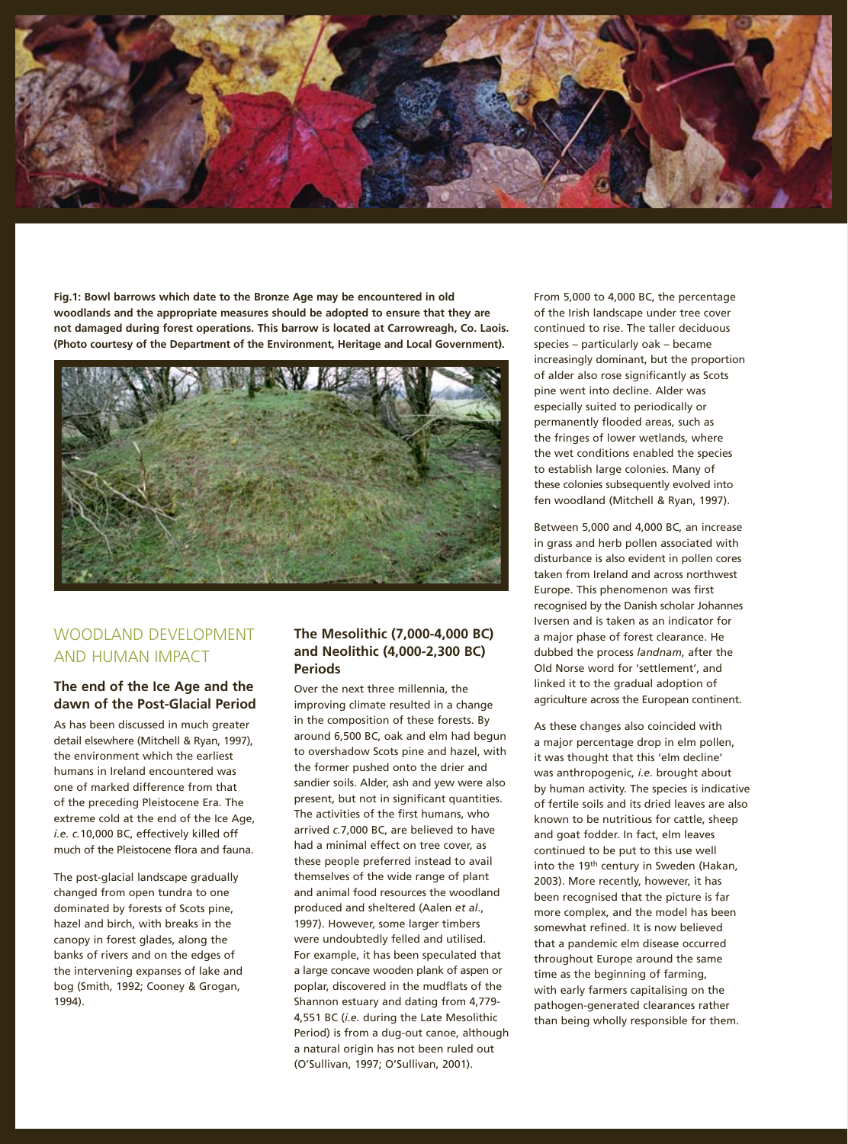

**Fig.1: Bowl barrows which date to the Bronze Age may be encountered in old woodlands and the appropriate measures should be adopted to ensure that they are not damaged during forest operations. This barrow is located at Carrowreagh, Co. Laois. (Photo courtesy of the Department of the Environment, Heritage and Local Government).**



# WOODLAND DEVELOPMENT AND HUMAN IMPACT

#### **The end of the Ice Age and the dawn of the Post-Glacial Period**

As has been discussed in much greater detail elsewhere (Mitchell & Ryan, 1997), the environment which the earliest humans in Ireland encountered was one of marked difference from that of the preceding Pleistocene Era. The extreme cold at the end of the Ice Age, *i.e. c.*10,000 BC, effectively killed off much of the Pleistocene flora and fauna.

The post-glacial landscape gradually changed from open tundra to one dominated by forests of Scots pine, hazel and birch, with breaks in the canopy in forest glades, along the banks of rivers and on the edges of the intervening expanses of lake and bog (Smith, 1992; Cooney & Grogan, 1994).

#### **The Mesolithic (7,000-4,000 BC) and Neolithic (4,000-2,300 BC) Periods**

Over the next three millennia, the improving climate resulted in a change in the composition of these forests. By around 6,500 BC, oak and elm had begun to overshadow Scots pine and hazel, with the former pushed onto the drier and sandier soils. Alder, ash and yew were also present, but not in significant quantities. The activities of the first humans, who arrived *c.*7,000 BC, are believed to have had a minimal effect on tree cover, as these people preferred instead to avail themselves of the wide range of plant and animal food resources the woodland produced and sheltered (Aalen *et al*., 1997). However, some larger timbers were undoubtedly felled and utilised. For example, it has been speculated that a large concave wooden plank of aspen or poplar, discovered in the mudflats of the Shannon estuary and dating from 4,779- 4,551 BC (*i.e.* during the Late Mesolithic Period) is from a dug-out canoe, although a natural origin has not been ruled out (O'Sullivan, 1997; O'Sullivan, 2001).

From 5,000 to 4,000 BC, the percentage of the Irish landscape under tree cover continued to rise. The taller deciduous species – particularly oak – became increasingly dominant, but the proportion of alder also rose significantly as Scots pine went into decline. Alder was especially suited to periodically or permanently flooded areas, such as the fringes of lower wetlands, where the wet conditions enabled the species to establish large colonies. Many of these colonies subsequently evolved into fen woodland (Mitchell & Ryan, 1997).

Between 5,000 and 4,000 BC, an increase in grass and herb pollen associated with disturbance is also evident in pollen cores taken from Ireland and across northwest Europe. This phenomenon was first recognised by the Danish scholar Johannes Iversen and is taken as an indicator for a major phase of forest clearance. He dubbed the process *landnam*, after the Old Norse word for 'settlement', and linked it to the gradual adoption of agriculture across the European continent.

As these changes also coincided with a major percentage drop in elm pollen, it was thought that this 'elm decline' was anthropogenic, *i.e.* brought about by human activity. The species is indicative of fertile soils and its dried leaves are also known to be nutritious for cattle, sheep and goat fodder. In fact, elm leaves continued to be put to this use well into the 19<sup>th</sup> century in Sweden (Hakan, 2003). More recently, however, it has been recognised that the picture is far more complex, and the model has been somewhat refined. It is now believed that a pandemic elm disease occurred throughout Europe around the same time as the beginning of farming, with early farmers capitalising on the pathogen-generated clearances rather than being wholly responsible for them.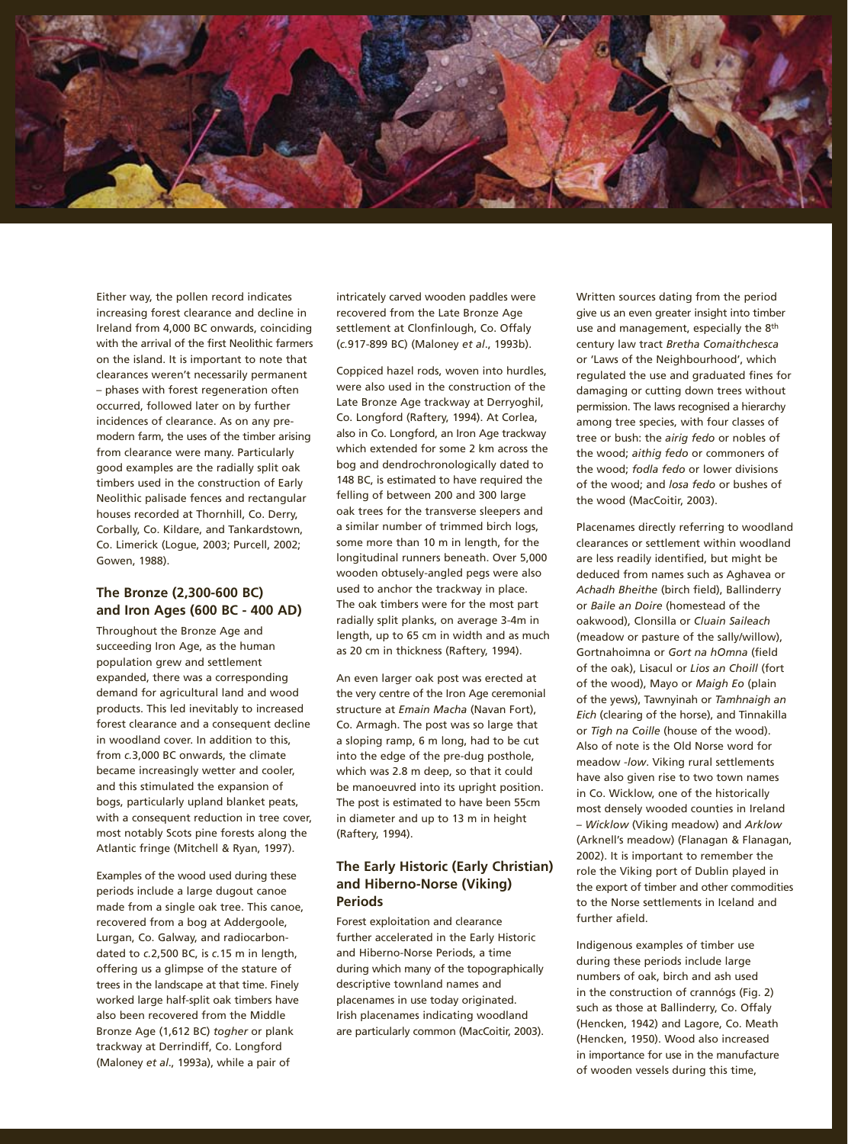

Either way, the pollen record indicates increasing forest clearance and decline in Ireland from 4,000 BC onwards, coinciding with the arrival of the first Neolithic farmers on the island. It is important to note that clearances weren't necessarily permanent – phases with forest regeneration often occurred, followed later on by further incidences of clearance. As on any premodern farm, the uses of the timber arising from clearance were many. Particularly good examples are the radially split oak timbers used in the construction of Early Neolithic palisade fences and rectangular houses recorded at Thornhill, Co. Derry, Corbally, Co. Kildare, and Tankardstown, Co. Limerick (Logue, 2003; Purcell, 2002; Gowen, 1988).

#### **The Bronze (2,300-600 BC) and Iron Ages (600 BC - 400 AD)**

Throughout the Bronze Age and succeeding Iron Age, as the human population grew and settlement expanded, there was a corresponding demand for agricultural land and wood products. This led inevitably to increased forest clearance and a consequent decline in woodland cover. In addition to this, from *c.*3,000 BC onwards, the climate became increasingly wetter and cooler, and this stimulated the expansion of bogs, particularly upland blanket peats, with a consequent reduction in tree cover, most notably Scots pine forests along the Atlantic fringe (Mitchell & Ryan, 1997).

Examples of the wood used during these periods include a large dugout canoe made from a single oak tree. This canoe, recovered from a bog at Addergoole, Lurgan, Co. Galway, and radiocarbondated to *c.*2,500 BC, is *c.*15 m in length, offering us a glimpse of the stature of trees in the landscape at that time. Finely worked large half-split oak timbers have also been recovered from the Middle Bronze Age (1,612 BC) *togher* or plank trackway at Derrindiff, Co. Longford (Maloney *et al*., 1993a), while a pair of

intricately carved wooden paddles were recovered from the Late Bronze Age settlement at Clonfinlough, Co. Offaly (*c.*917-899 BC) (Maloney *et al*., 1993b).

Coppiced hazel rods, woven into hurdles, were also used in the construction of the Late Bronze Age trackway at Derryoghil, Co. Longford (Raftery, 1994). At Corlea, also in Co. Longford, an Iron Age trackway which extended for some 2 km across the bog and dendrochronologically dated to 148 BC, is estimated to have required the felling of between 200 and 300 large oak trees for the transverse sleepers and a similar number of trimmed birch logs, some more than 10 m in length, for the longitudinal runners beneath. Over 5,000 wooden obtusely-angled pegs were also used to anchor the trackway in place. The oak timbers were for the most part radially split planks, on average 3-4m in length, up to 65 cm in width and as much as 20 cm in thickness (Raftery, 1994).

An even larger oak post was erected at the very centre of the Iron Age ceremonial structure at *Emain Macha* (Navan Fort), Co. Armagh. The post was so large that a sloping ramp, 6 m long, had to be cut into the edge of the pre-dug posthole, which was 2.8 m deep, so that it could be manoeuvred into its upright position. The post is estimated to have been 55cm in diameter and up to 13 m in height (Raftery, 1994).

## **The Early Historic (Early Christian) and Hiberno-Norse (Viking) Periods**

Forest exploitation and clearance further accelerated in the Early Historic and Hiberno-Norse Periods, a time during which many of the topographically descriptive townland names and placenames in use today originated. Irish placenames indicating woodland are particularly common (MacCoitir, 2003). Written sources dating from the period give us an even greater insight into timber use and management, especially the 8th century law tract *Bretha Comaithchesca*  or 'Laws of the Neighbourhood', which regulated the use and graduated fines for damaging or cutting down trees without permission. The laws recognised a hierarchy among tree species, with four classes of tree or bush: the *airig fedo* or nobles of the wood; *aithig fedo* or commoners of the wood; *fodla fedo* or lower divisions of the wood; and *losa fedo* or bushes of the wood (MacCoitir, 2003).

Placenames directly referring to woodland clearances or settlement within woodland are less readily identified, but might be deduced from names such as Aghavea or *Achadh Bheithe* (birch field), Ballinderry or *Baile an Doire* (homestead of the oakwood), Clonsilla or *Cluain Saileach*  (meadow or pasture of the sally/willow), Gortnahoimna or *Gort na hOmna* (field of the oak), Lisacul or *Lios an Choill* (fort of the wood), Mayo or *Maigh Eo* (plain of the yews), Tawnyinah or *Tamhnaigh an Eich* (clearing of the horse), and Tinnakilla or *Tigh na Coille* (house of the wood). Also of note is the Old Norse word for meadow *-low*. Viking rural settlements have also given rise to two town names in Co. Wicklow, one of the historically most densely wooded counties in Ireland – *Wicklow* (Viking meadow) and *Arklow*  (Arknell's meadow) (Flanagan & Flanagan, 2002). It is important to remember the role the Viking port of Dublin played in the export of timber and other commodities to the Norse settlements in Iceland and further afield.

Indigenous examples of timber use during these periods include large numbers of oak, birch and ash used in the construction of crannógs (Fig. 2) such as those at Ballinderry, Co. Offaly (Hencken, 1942) and Lagore, Co. Meath (Hencken, 1950). Wood also increased in importance for use in the manufacture of wooden vessels during this time,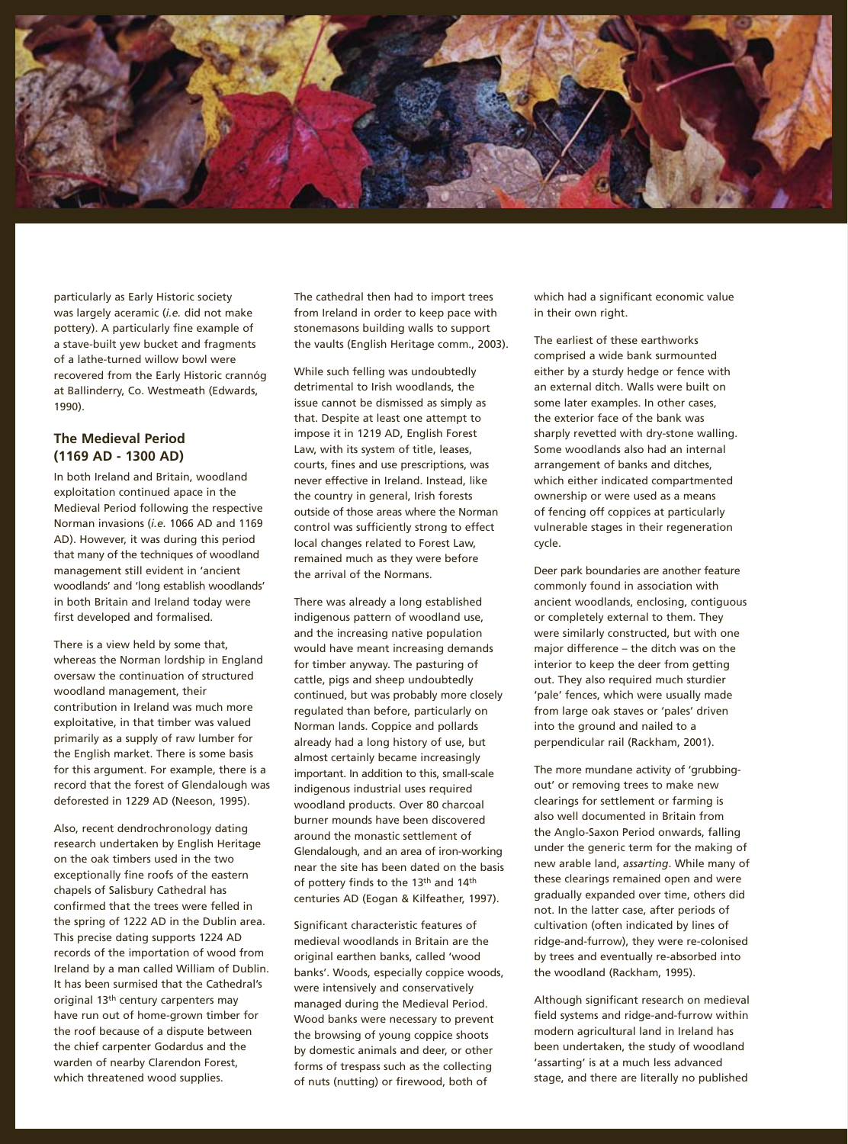

particularly as Early Historic society was largely aceramic (*i.e.* did not make pottery). A particularly fine example of a stave-built yew bucket and fragments of a lathe-turned willow bowl were recovered from the Early Historic crannóg at Ballinderry, Co. Westmeath (Edwards, 1990).

### **The Medieval Period (1169 AD - 1300 AD)**

In both Ireland and Britain, woodland exploitation continued apace in the Medieval Period following the respective Norman invasions (*i.e.* 1066 AD and 1169 AD). However, it was during this period that many of the techniques of woodland management still evident in 'ancient woodlands' and 'long establish woodlands' in both Britain and Ireland today were first developed and formalised.

There is a view held by some that, whereas the Norman lordship in England oversaw the continuation of structured woodland management, their contribution in Ireland was much more exploitative, in that timber was valued primarily as a supply of raw lumber for the English market. There is some basis for this argument. For example, there is a record that the forest of Glendalough was deforested in 1229 AD (Neeson, 1995).

Also, recent dendrochronology dating research undertaken by English Heritage on the oak timbers used in the two exceptionally fine roofs of the eastern chapels of Salisbury Cathedral has confirmed that the trees were felled in the spring of 1222 AD in the Dublin area. This precise dating supports 1224 AD records of the importation of wood from Ireland by a man called William of Dublin. It has been surmised that the Cathedral's original 13th century carpenters may have run out of home-grown timber for the roof because of a dispute between the chief carpenter Godardus and the warden of nearby Clarendon Forest, which threatened wood supplies.

The cathedral then had to import trees from Ireland in order to keep pace with stonemasons building walls to support the vaults (English Heritage comm., 2003).

While such felling was undoubtedly detrimental to Irish woodlands, the issue cannot be dismissed as simply as that. Despite at least one attempt to impose it in 1219 AD, English Forest Law, with its system of title, leases, courts, fines and use prescriptions, was never effective in Ireland. Instead, like the country in general, Irish forests outside of those areas where the Norman control was sufficiently strong to effect local changes related to Forest Law, remained much as they were before the arrival of the Normans.

There was already a long established indigenous pattern of woodland use, and the increasing native population would have meant increasing demands for timber anyway. The pasturing of cattle, pigs and sheep undoubtedly continued, but was probably more closely regulated than before, particularly on Norman lands. Coppice and pollards already had a long history of use, but almost certainly became increasingly important. In addition to this, small-scale indigenous industrial uses required woodland products. Over 80 charcoal burner mounds have been discovered around the monastic settlement of Glendalough, and an area of iron-working near the site has been dated on the basis of pottery finds to the 13<sup>th</sup> and 14<sup>th</sup> centuries AD (Eogan & Kilfeather, 1997).

Significant characteristic features of medieval woodlands in Britain are the original earthen banks, called 'wood banks'. Woods, especially coppice woods, were intensively and conservatively managed during the Medieval Period. Wood banks were necessary to prevent the browsing of young coppice shoots by domestic animals and deer, or other forms of trespass such as the collecting of nuts (nutting) or firewood, both of

which had a significant economic value in their own right.

The earliest of these earthworks comprised a wide bank surmounted either by a sturdy hedge or fence with an external ditch. Walls were built on some later examples. In other cases, the exterior face of the bank was sharply revetted with dry-stone walling. Some woodlands also had an internal arrangement of banks and ditches, which either indicated compartmented ownership or were used as a means of fencing off coppices at particularly vulnerable stages in their regeneration cycle.

Deer park boundaries are another feature commonly found in association with ancient woodlands, enclosing, contiguous or completely external to them. They were similarly constructed, but with one major difference – the ditch was on the interior to keep the deer from getting out. They also required much sturdier 'pale' fences, which were usually made from large oak staves or 'pales' driven into the ground and nailed to a perpendicular rail (Rackham, 2001).

The more mundane activity of 'grubbingout' or removing trees to make new clearings for settlement or farming is also well documented in Britain from the Anglo-Saxon Period onwards, falling under the generic term for the making of new arable land, *assarting*. While many of these clearings remained open and were gradually expanded over time, others did not. In the latter case, after periods of cultivation (often indicated by lines of ridge-and-furrow), they were re-colonised by trees and eventually re-absorbed into the woodland (Rackham, 1995).

Although significant research on medieval field systems and ridge-and-furrow within modern agricultural land in Ireland has been undertaken, the study of woodland 'assarting' is at a much less advanced stage, and there are literally no published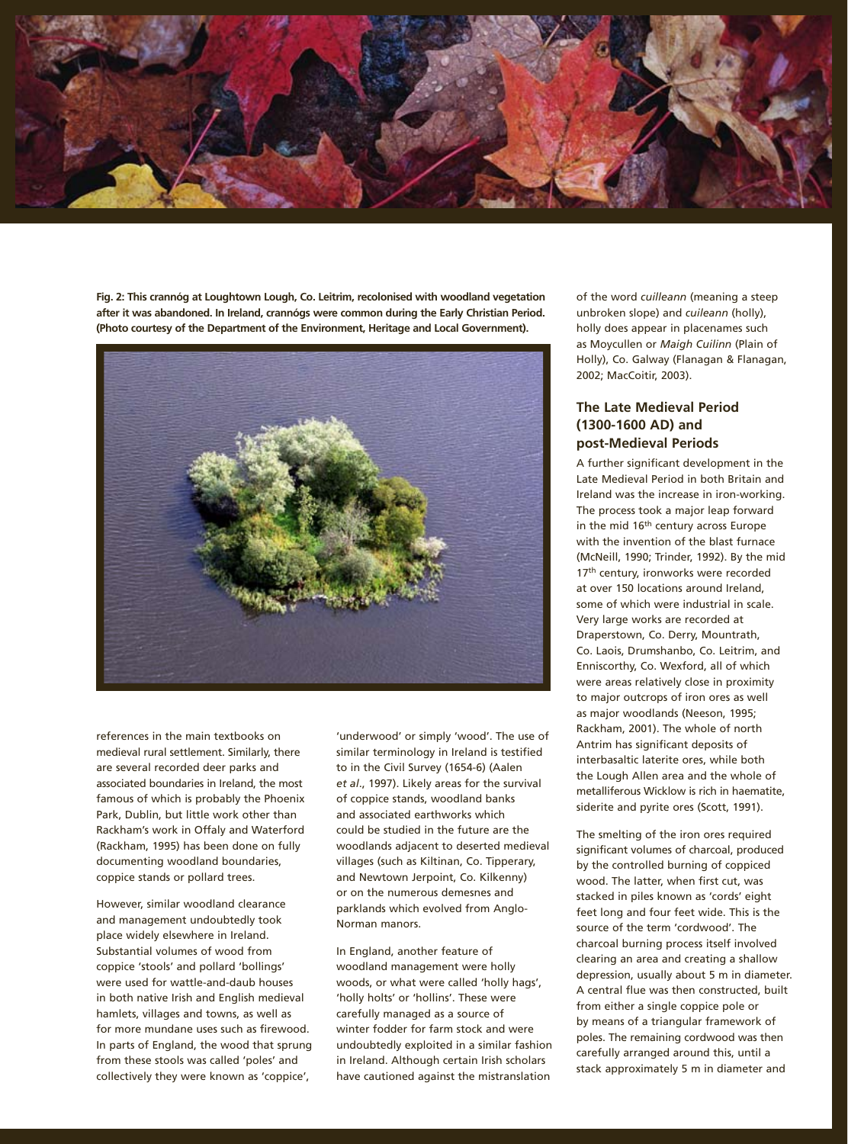

**Fig. 2: This crannóg at Loughtown Lough, Co. Leitrim, recolonised with woodland vegetation after it was abandoned. In Ireland, crannógs were common during the Early Christian Period. (Photo courtesy of the Department of the Environment, Heritage and Local Government).**



references in the main textbooks on medieval rural settlement. Similarly, there are several recorded deer parks and associated boundaries in Ireland, the most famous of which is probably the Phoenix Park, Dublin, but little work other than Rackham's work in Offaly and Waterford (Rackham, 1995) has been done on fully documenting woodland boundaries, coppice stands or pollard trees.

However, similar woodland clearance and management undoubtedly took place widely elsewhere in Ireland. Substantial volumes of wood from coppice 'stools' and pollard 'bollings' were used for wattle-and-daub houses in both native Irish and English medieval hamlets, villages and towns, as well as for more mundane uses such as firewood. In parts of England, the wood that sprung from these stools was called 'poles' and collectively they were known as 'coppice',

'underwood' or simply 'wood'. The use of similar terminology in Ireland is testified to in the Civil Survey (1654-6) (Aalen *et al*., 1997). Likely areas for the survival of coppice stands, woodland banks and associated earthworks which could be studied in the future are the woodlands adjacent to deserted medieval villages (such as Kiltinan, Co. Tipperary, and Newtown Jerpoint, Co. Kilkenny) or on the numerous demesnes and parklands which evolved from Anglo-Norman manors.

In England, another feature of woodland management were holly woods, or what were called 'holly hags', 'holly holts' or 'hollins'. These were carefully managed as a source of winter fodder for farm stock and were undoubtedly exploited in a similar fashion in Ireland. Although certain Irish scholars have cautioned against the mistranslation

of the word *cuilleann* (meaning a steep unbroken slope) and *cuileann* (holly), holly does appear in placenames such as Moycullen or *Maigh Cuilinn* (Plain of Holly), Co. Galway (Flanagan & Flanagan, 2002; MacCoitir, 2003).

### **The Late Medieval Period (1300-1600 AD) and post-Medieval Periods**

A further significant development in the Late Medieval Period in both Britain and Ireland was the increase in iron-working. The process took a major leap forward in the mid 16<sup>th</sup> century across Europe with the invention of the blast furnace (McNeill, 1990; Trinder, 1992). By the mid 17<sup>th</sup> century, ironworks were recorded at over 150 locations around Ireland, some of which were industrial in scale. Very large works are recorded at Draperstown, Co. Derry, Mountrath, Co. Laois, Drumshanbo, Co. Leitrim, and Enniscorthy, Co. Wexford, all of which were areas relatively close in proximity to major outcrops of iron ores as well as major woodlands (Neeson, 1995; Rackham, 2001). The whole of north Antrim has significant deposits of interbasaltic laterite ores, while both the Lough Allen area and the whole of metalliferous Wicklow is rich in haematite, siderite and pyrite ores (Scott, 1991).

The smelting of the iron ores required significant volumes of charcoal, produced by the controlled burning of coppiced wood. The latter, when first cut, was stacked in piles known as 'cords' eight feet long and four feet wide. This is the source of the term 'cordwood'. The charcoal burning process itself involved clearing an area and creating a shallow depression, usually about 5 m in diameter. A central flue was then constructed, built from either a single coppice pole or by means of a triangular framework of poles. The remaining cordwood was then carefully arranged around this, until a stack approximately 5 m in diameter and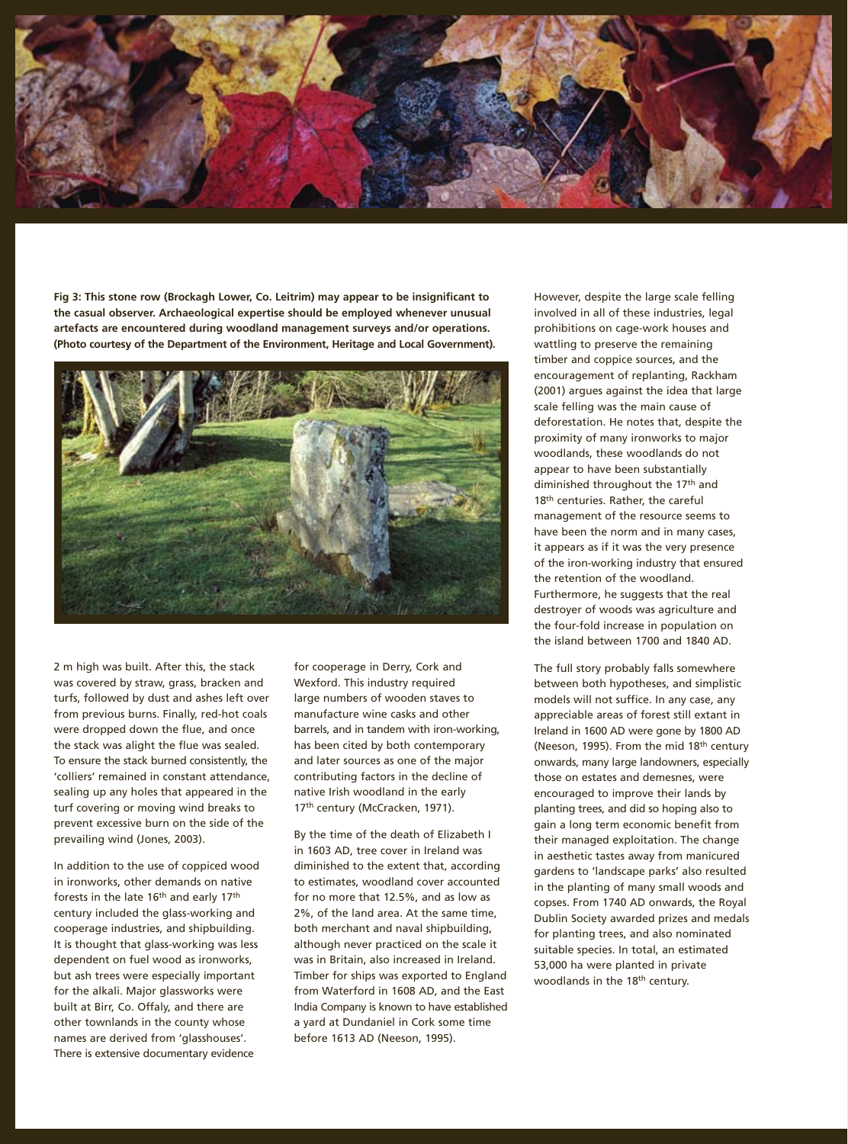

**Fig 3: This stone row (Brockagh Lower, Co. Leitrim) may appear to be insignificant to the casual observer. Archaeological expertise should be employed whenever unusual artefacts are encountered during woodland management surveys and/or operations. (Photo courtesy of the Department of the Environment, Heritage and Local Government).**



2 m high was built. After this, the stack was covered by straw, grass, bracken and turfs, followed by dust and ashes left over from previous burns. Finally, red-hot coals were dropped down the flue, and once the stack was alight the flue was sealed. To ensure the stack burned consistently, the 'colliers' remained in constant attendance, sealing up any holes that appeared in the turf covering or moving wind breaks to prevent excessive burn on the side of the prevailing wind (Jones, 2003).

In addition to the use of coppiced wood in ironworks, other demands on native forests in the late 16<sup>th</sup> and early 17<sup>th</sup> century included the glass-working and cooperage industries, and shipbuilding. It is thought that glass-working was less dependent on fuel wood as ironworks, but ash trees were especially important for the alkali. Major glassworks were built at Birr, Co. Offaly, and there are other townlands in the county whose names are derived from 'glasshouses'. There is extensive documentary evidence

for cooperage in Derry, Cork and Wexford. This industry required large numbers of wooden staves to manufacture wine casks and other barrels, and in tandem with iron-working, has been cited by both contemporary and later sources as one of the major contributing factors in the decline of native Irish woodland in the early 17<sup>th</sup> century (McCracken, 1971).

By the time of the death of Elizabeth I in 1603 AD, tree cover in Ireland was diminished to the extent that, according to estimates, woodland cover accounted for no more that 12.5%, and as low as 2%, of the land area. At the same time, both merchant and naval shipbuilding, although never practiced on the scale it was in Britain, also increased in Ireland. Timber for ships was exported to England from Waterford in 1608 AD, and the East India Company is known to have established a yard at Dundaniel in Cork some time before 1613 AD (Neeson, 1995).

However, despite the large scale felling involved in all of these industries, legal prohibitions on cage-work houses and wattling to preserve the remaining timber and coppice sources, and the encouragement of replanting, Rackham (2001) argues against the idea that large scale felling was the main cause of deforestation. He notes that, despite the proximity of many ironworks to major woodlands, these woodlands do not appear to have been substantially diminished throughout the 17<sup>th</sup> and 18<sup>th</sup> centuries. Rather, the careful management of the resource seems to have been the norm and in many cases, it appears as if it was the very presence of the iron-working industry that ensured the retention of the woodland. Furthermore, he suggests that the real destroyer of woods was agriculture and the four-fold increase in population on the island between 1700 and 1840 AD.

The full story probably falls somewhere between both hypotheses, and simplistic models will not suffice. In any case, any appreciable areas of forest still extant in Ireland in 1600 AD were gone by 1800 AD (Neeson, 1995). From the mid 18th century onwards, many large landowners, especially those on estates and demesnes, were encouraged to improve their lands by planting trees, and did so hoping also to gain a long term economic benefit from their managed exploitation. The change in aesthetic tastes away from manicured gardens to 'landscape parks' also resulted in the planting of many small woods and copses. From 1740 AD onwards, the Royal Dublin Society awarded prizes and medals for planting trees, and also nominated suitable species. In total, an estimated 53,000 ha were planted in private woodlands in the 18th century.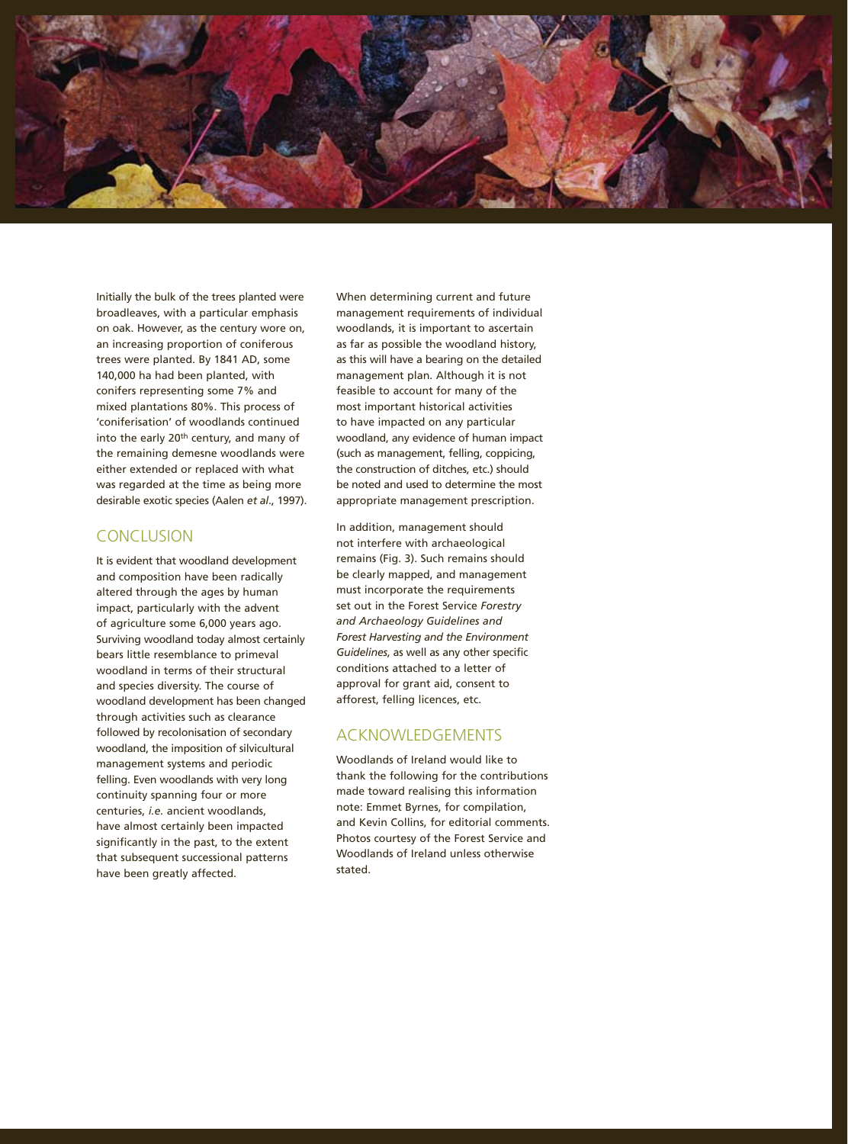

Initially the bulk of the trees planted were broadleaves, with a particular emphasis on oak. However, as the century wore on, an increasing proportion of coniferous trees were planted. By 1841 AD, some 140,000 ha had been planted, with conifers representing some 7% and mixed plantations 80%. This process of 'coniferisation' of woodlands continued into the early 20th century, and many of the remaining demesne woodlands were either extended or replaced with what was regarded at the time as being more desirable exotic species (Aalen *et al*., 1997).

# **CONCLUSION**

It is evident that woodland development and composition have been radically altered through the ages by human impact, particularly with the advent of agriculture some 6,000 years ago. Surviving woodland today almost certainly bears little resemblance to primeval woodland in terms of their structural and species diversity. The course of woodland development has been changed through activities such as clearance followed by recolonisation of secondary woodland, the imposition of silvicultural management systems and periodic felling. Even woodlands with very long continuity spanning four or more centuries, *i.e.* ancient woodlands, have almost certainly been impacted significantly in the past, to the extent that subsequent successional patterns have been greatly affected.

When determining current and future management requirements of individual woodlands, it is important to ascertain as far as possible the woodland history, as this will have a bearing on the detailed management plan. Although it is not feasible to account for many of the most important historical activities to have impacted on any particular woodland, any evidence of human impact (such as management, felling, coppicing, the construction of ditches, etc.) should be noted and used to determine the most appropriate management prescription.

In addition, management should not interfere with archaeological remains (Fig. 3). Such remains should be clearly mapped, and management must incorporate the requirements set out in the Forest Service *Forestry and Archaeology Guidelines and Forest Harvesting and the Environment Guidelines*, as well as any other specific conditions attached to a letter of approval for grant aid, consent to afforest, felling licences, etc.

### ACKNOWLEDGEMENTS

Woodlands of Ireland would like to thank the following for the contributions made toward realising this information note: Emmet Byrnes, for compilation, and Kevin Collins, for editorial comments. Photos courtesy of the Forest Service and Woodlands of Ireland unless otherwise stated.